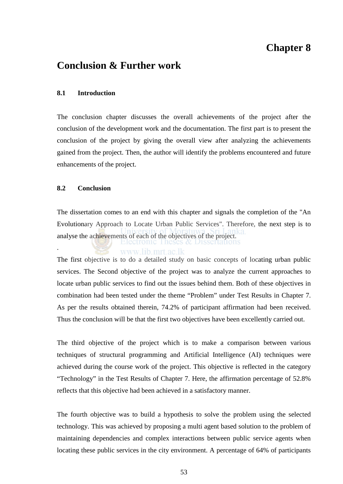# **Chapter 8**

## **Conclusion & Further work**

### **8.1 Introduction**

The conclusion chapter discusses the overall achievements of the project after the conclusion of the development work and the documentation. The first part is to present the conclusion of the project by giving the overall view after analyzing the achievements gained from the project. Then, the author will identify the problems encountered and future enhancements of the project.

### **8.2 Conclusion**

.

The dissertation comes to an end with this chapter and signals the completion of the "An Evolutionary Approach to Locate Urban Public Services". Therefore, the next step is to analyse the achievements of each of the objectives of the project.

### www.lib.mrt.ac.lk

The first objective is to do a detailed study on basic concepts of locating urban public services. The Second objective of the project was to analyze the current approaches to locate urban public services to find out the issues behind them. Both of these objectives in combination had been tested under the theme "Problem" under Test Results in Chapter 7. As per the results obtained therein, 74.2% of participant affirmation had been received. Thus the conclusion will be that the first two objectives have been excellently carried out.

The third objective of the project which is to make a comparison between various techniques of structural programming and Artificial Intelligence (AI) techniques were achieved during the course work of the project. This objective is reflected in the category "Technology" in the Test Results of Chapter 7. Here, the affirmation percentage of 52.8% reflects that this objective had been achieved in a satisfactory manner.

The fourth objective was to build a hypothesis to solve the problem using the selected technology. This was achieved by proposing a multi agent based solution to the problem of maintaining dependencies and complex interactions between public service agents when locating these public services in the city environment. A percentage of 64% of participants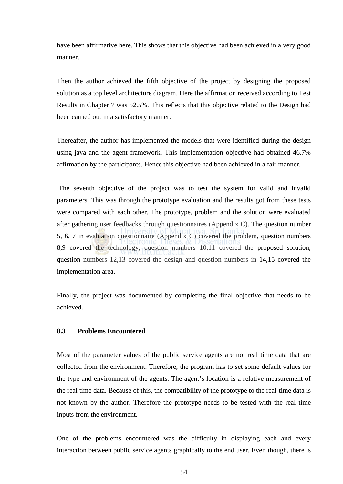have been affirmative here. This shows that this objective had been achieved in a very good manner.

Then the author achieved the fifth objective of the project by designing the proposed solution as a top level architecture diagram. Here the affirmation received according to Test Results in Chapter 7 was 52.5%. This reflects that this objective related to the Design had been carried out in a satisfactory manner.

Thereafter, the author has implemented the models that were identified during the design using java and the agent framework. This implementation objective had obtained 46.7% affirmation by the participants. Hence this objective had been achieved in a fair manner.

The seventh objective of the project was to test the system for valid and invalid parameters. This was through the prototype evaluation and the results got from these tests were compared with each other. The prototype, problem and the solution were evaluated after gathering user feedbacks through questionnaires (Appendix C). The question number 5, 6, 7 in evaluation questionnaire (Appendix C) covered the problem, question numbers 8,9 covered the technology, question numbers 10,11 covered the proposed solution, question numbers 12,13 covered the design and question numbers in 14,15 covered the implementation area.

Finally, the project was documented by completing the final objective that needs to be achieved.

### **8.3 Problems Encountered**

Most of the parameter values of the public service agents are not real time data that are collected from the environment. Therefore, the program has to set some default values for the type and environment of the agents. The agent's location is a relative measurement of the real time data. Because of this, the compatibility of the prototype to the real-time data is not known by the author. Therefore the prototype needs to be tested with the real time inputs from the environment.

One of the problems encountered was the difficulty in displaying each and every interaction between public service agents graphically to the end user. Even though, there is